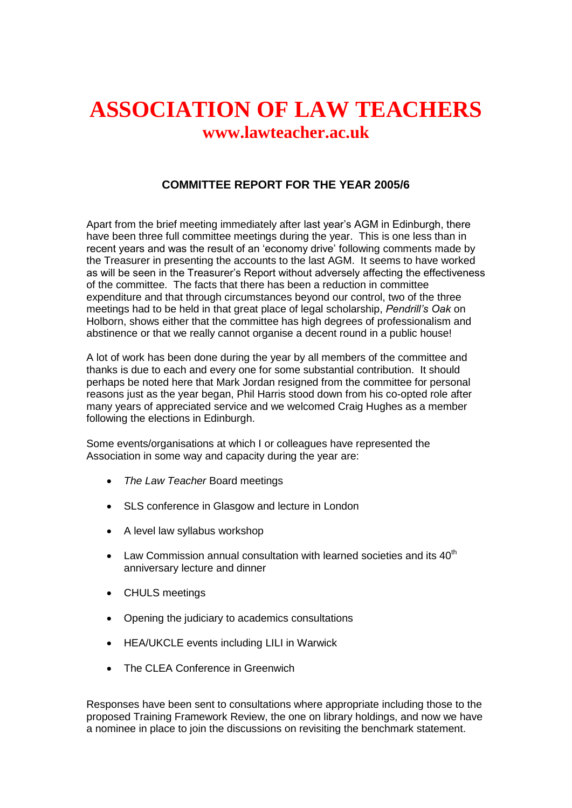## **ASSOCIATION OF LAW TEACHERS www.lawteacher.ac.uk**

## **COMMITTEE REPORT FOR THE YEAR 2005/6**

Apart from the brief meeting immediately after last year's AGM in Edinburgh, there have been three full committee meetings during the year. This is one less than in recent years and was the result of an 'economy drive' following comments made by the Treasurer in presenting the accounts to the last AGM. It seems to have worked as will be seen in the Treasurer's Report without adversely affecting the effectiveness of the committee. The facts that there has been a reduction in committee expenditure and that through circumstances beyond our control, two of the three meetings had to be held in that great place of legal scholarship, *Pendrill's Oak* on Holborn, shows either that the committee has high degrees of professionalism and abstinence or that we really cannot organise a decent round in a public house!

A lot of work has been done during the year by all members of the committee and thanks is due to each and every one for some substantial contribution. It should perhaps be noted here that Mark Jordan resigned from the committee for personal reasons just as the year began, Phil Harris stood down from his co-opted role after many years of appreciated service and we welcomed Craig Hughes as a member following the elections in Edinburgh.

Some events/organisations at which I or colleagues have represented the Association in some way and capacity during the year are:

- *The Law Teacher* Board meetings
- SLS conference in Glasgow and lecture in London
- A level law syllabus workshop
- Law Commission annual consultation with learned societies and its  $40<sup>th</sup>$ anniversary lecture and dinner
- CHULS meetings
- Opening the judiciary to academics consultations
- HEA/UKCLE events including LILI in Warwick
- The CLEA Conference in Greenwich

Responses have been sent to consultations where appropriate including those to the proposed Training Framework Review, the one on library holdings, and now we have a nominee in place to join the discussions on revisiting the benchmark statement.